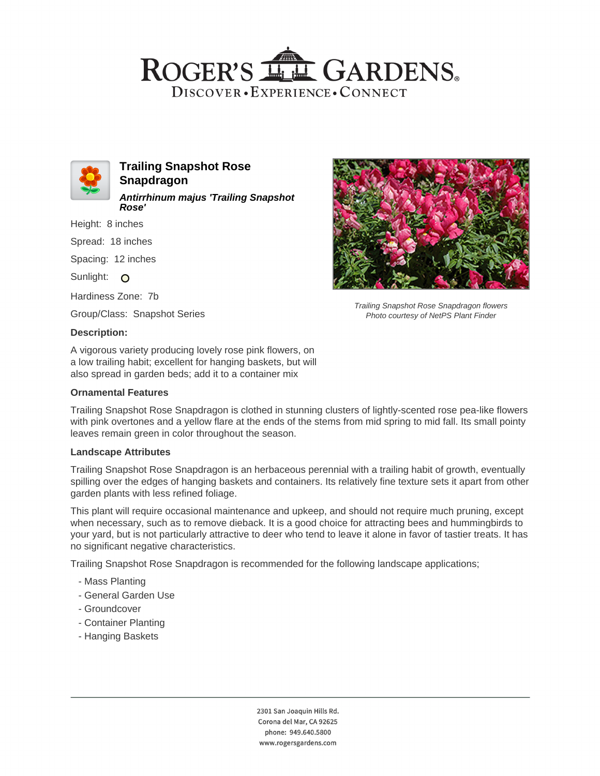# ROGER'S LL GARDENS. DISCOVER · EXPERIENCE · CONNECT



**Trailing Snapshot Rose Snapdragon Antirrhinum majus 'Trailing Snapshot Rose'**

Height: 8 inches

Spread: 18 inches

Spacing: 12 inches

Sunlight:  $\circ$ 

Hardiness Zone: 7b

Group/Class: Snapshot Series

### **Description:**

A vigorous variety producing lovely rose pink flowers, on a low trailing habit; excellent for hanging baskets, but will also spread in garden beds; add it to a container mix

### **Ornamental Features**

Trailing Snapshot Rose Snapdragon is clothed in stunning clusters of lightly-scented rose pea-like flowers with pink overtones and a yellow flare at the ends of the stems from mid spring to mid fall. Its small pointy leaves remain green in color throughout the season.

#### **Landscape Attributes**

Trailing Snapshot Rose Snapdragon is an herbaceous perennial with a trailing habit of growth, eventually spilling over the edges of hanging baskets and containers. Its relatively fine texture sets it apart from other garden plants with less refined foliage.

This plant will require occasional maintenance and upkeep, and should not require much pruning, except when necessary, such as to remove dieback. It is a good choice for attracting bees and hummingbirds to your yard, but is not particularly attractive to deer who tend to leave it alone in favor of tastier treats. It has no significant negative characteristics.

Trailing Snapshot Rose Snapdragon is recommended for the following landscape applications;

- Mass Planting
- General Garden Use
- Groundcover
- Container Planting
- Hanging Baskets



Trailing Snapshot Rose Snapdragon flowers Photo courtesy of NetPS Plant Finder

2301 San Joaquin Hills Rd. Corona del Mar, CA 92625 phone: 949.640.5800 www.rogersgardens.com